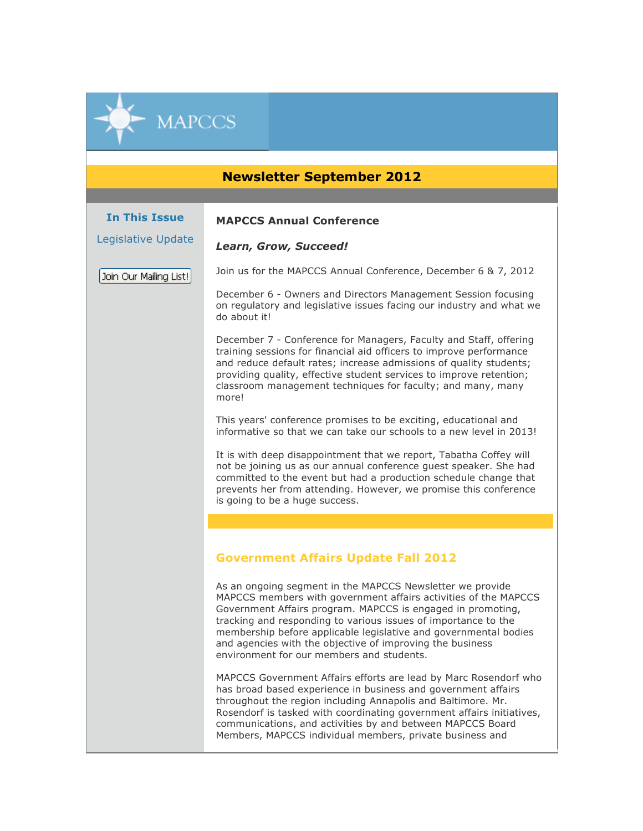## **Newsletter September 2012**

## **MAPCCS Annual Conference**

*Learn, Grow, Succeed!*

Legislative Update

**In This Issue**

**MAPCCS** 

Join Our Mailing List!

Join us for the MAPCCS Annual Conference, December 6 & 7, 2012

December 6 - Owners and Directors Management Session focusing on regulatory and legislative issues facing our industry and what we do about it!

December 7 - Conference for Managers, Faculty and Staff, offering training sessions for financial aid officers to improve performance and reduce default rates; increase admissions of quality students; providing quality, effective student services to improve retention; classroom management techniques for faculty; and many, many more!

This years' conference promises to be exciting, educational and informative so that we can take our schools to a new level in 2013!

It is with deep disappointment that we report, Tabatha Coffey will not be joining us as our annual conference guest speaker. She had committed to the event but had a production schedule change that prevents her from attending. However, we promise this conference is going to be a huge success.

## **Government Affairs Update Fall 2012**

As an ongoing segment in the MAPCCS Newsletter we provide MAPCCS members with government affairs activities of the MAPCCS Government Affairs program. MAPCCS is engaged in promoting, tracking and responding to various issues of importance to the membership before applicable legislative and governmental bodies and agencies with the objective of improving the business environment for our members and students.

MAPCCS Government Affairs efforts are lead by Marc Rosendorf who has broad based experience in business and government affairs throughout the region including Annapolis and Baltimore. Mr. Rosendorf is tasked with coordinating government affairs initiatives, communications, and activities by and between MAPCCS Board Members, MAPCCS individual members, private business and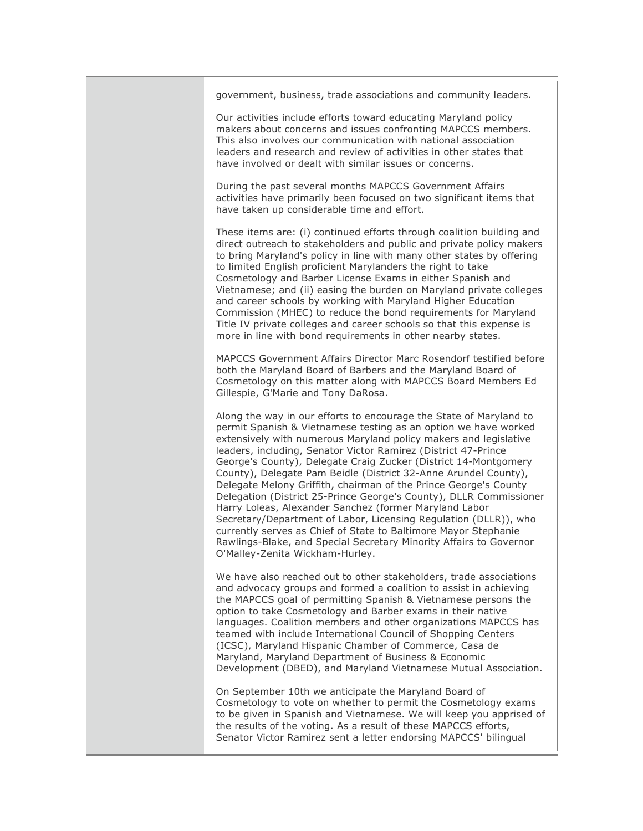government, business, trade associations and community leaders.

Our activities include efforts toward educating Maryland policy makers about concerns and issues confronting MAPCCS members. This also involves our communication with national association leaders and research and review of activities in other states that have involved or dealt with similar issues or concerns.

During the past several months MAPCCS Government Affairs activities have primarily been focused on two significant items that have taken up considerable time and effort.

These items are: (i) continued efforts through coalition building and direct outreach to stakeholders and public and private policy makers to bring Maryland's policy in line with many other states by offering to limited English proficient Marylanders the right to take Cosmetology and Barber License Exams in either Spanish and Vietnamese; and (ii) easing the burden on Maryland private colleges and career schools by working with Maryland Higher Education Commission (MHEC) to reduce the bond requirements for Maryland Title IV private colleges and career schools so that this expense is more in line with bond requirements in other nearby states.

MAPCCS Government Affairs Director Marc Rosendorf testified before both the Maryland Board of Barbers and the Maryland Board of Cosmetology on this matter along with MAPCCS Board Members Ed Gillespie, G'Marie and Tony DaRosa.

Along the way in our efforts to encourage the State of Maryland to permit Spanish & Vietnamese testing as an option we have worked extensively with numerous Maryland policy makers and legislative leaders, including, Senator Victor Ramirez (District 47-Prince George's County), Delegate Craig Zucker (District 14-Montgomery County), Delegate Pam Beidle (District 32-Anne Arundel County), Delegate Melony Griffith, chairman of the Prince George's County Delegation (District 25-Prince George's County), DLLR Commissioner Harry Loleas, Alexander Sanchez (former Maryland Labor Secretary/Department of Labor, Licensing Regulation (DLLR)), who currently serves as Chief of State to Baltimore Mayor Stephanie Rawlings-Blake, and Special Secretary Minority Affairs to Governor O'Malley-Zenita Wickham-Hurley.

We have also reached out to other stakeholders, trade associations and advocacy groups and formed a coalition to assist in achieving the MAPCCS goal of permitting Spanish & Vietnamese persons the option to take Cosmetology and Barber exams in their native languages. Coalition members and other organizations MAPCCS has teamed with include International Council of Shopping Centers (ICSC), Maryland Hispanic Chamber of Commerce, Casa de Maryland, Maryland Department of Business & Economic Development (DBED), and Maryland Vietnamese Mutual Association.

On September 10th we anticipate the Maryland Board of Cosmetology to vote on whether to permit the Cosmetology exams to be given in Spanish and Vietnamese. We will keep you apprised of the results of the voting. As a result of these MAPCCS efforts, Senator Victor Ramirez sent a letter endorsing MAPCCS' bilingual